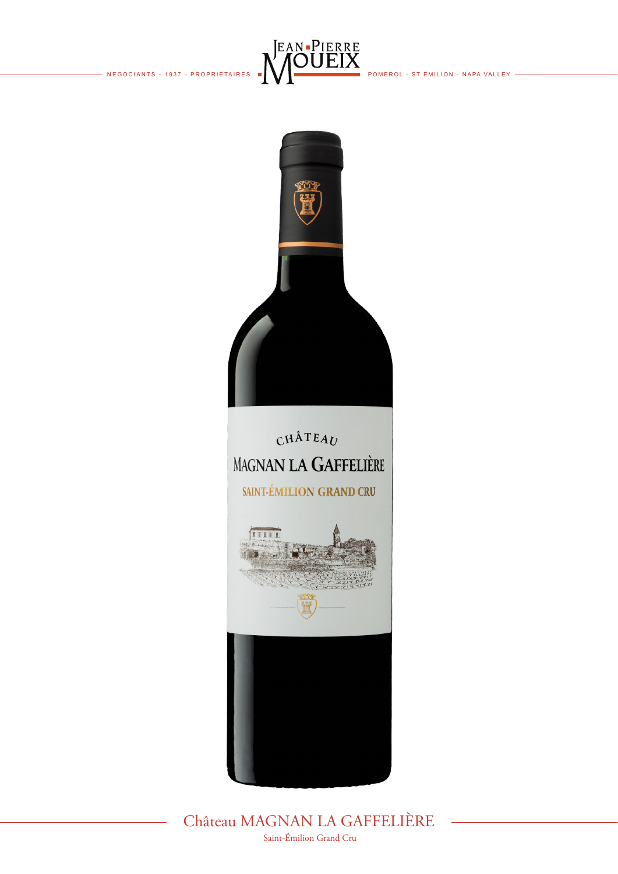



Château MAGNAN LA GAFFELIÈRE Saint-Émilion Grand Cru